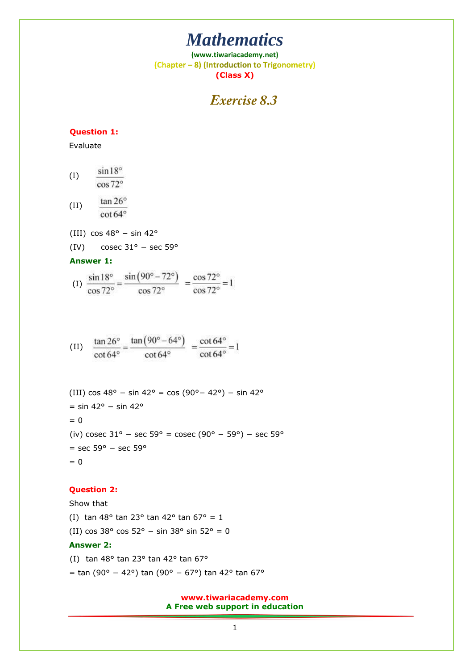# *Mathematics*

**(www.tiwariacademy.net)** (Chapter - 8) (Introduction to Trigonometry) **(Class X)**

### Exercise 8.3

#### **Question 1:**

Evaluate

 $sin 18^\circ$ (I) cos 72°

tan 26° (II) cot 64°

- (III)  $\cos 48^\circ \sin 42^\circ$
- (IV) cosec  $31^{\circ}$  sec 59°

**Answer 1:**

$$
(1) \ \frac{\sin 18^{\circ}}{\cos 72^{\circ}} = \frac{\sin (90^{\circ} - 72^{\circ})}{\cos 72^{\circ}} = \frac{\cos 72^{\circ}}{\cos 72^{\circ}} = 1
$$

(II) 
$$
\frac{\tan 26^{\circ}}{\cot 64^{\circ}} = \frac{\tan (90^{\circ} - 64^{\circ})}{\cot 64^{\circ}} = \frac{\cot 64^{\circ}}{\cot 64^{\circ}} = 1
$$

(III) cos 48° − sin 42° = cos (90° – 42°) − sin 42° = sin 42° − sin 42°  $= 0$ (iv) cosec  $31^{\circ}$  – sec  $59^{\circ}$  = cosec (90° – 59°) – sec  $59^{\circ}$ = sec 59° − sec 59°  $= 0$ 

#### **Question 2:**

Show that (I) tan 48° tan 23° tan 42° tan 67° = 1 (II) cos 38° cos 52° − sin 38° sin 52° = 0

### **Answer 2:**

(I) tan 48 $\degree$  tan 23 $\degree$  tan 42 $\degree$  tan 67 $\degree$ = tan (90° − 42°) tan (90° − 67°) tan 42° tan 67°

### **www.tiwariacademy.com A Free web support in education**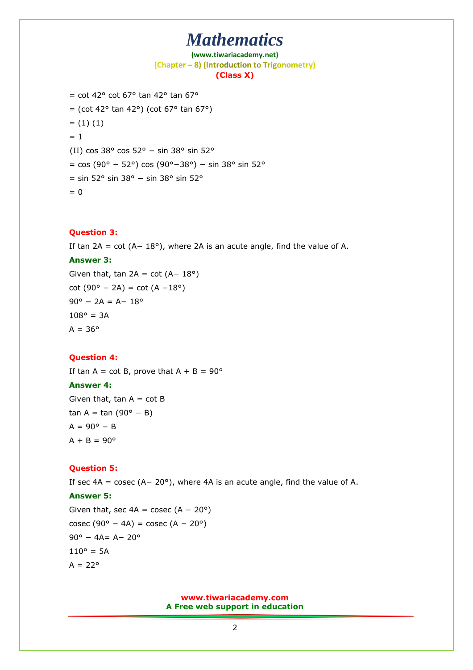## *Mathematics*

**(www.tiwariacademy.net)** (Chapter - 8) (Introduction to Trigonometry) **(Class X)**

```
= cot 42\degree cot 67\degree tan 42\degree tan 67\degree= (cot 42° tan 42°) (cot 67° tan 67°)
= (1) (1)= 1(II) cos 38° cos 52° − sin 38° sin 52° 
= cos (90° – 52°) cos (90°–38°) – sin 38° sin 52°
= sin 52° sin 38° − sin 38° sin 52° 
= 0
```
#### **Question 3:**

If tan 2A = cot  $(A- 18°)$ , where 2A is an acute angle, find the value of A.

#### **Answer 3:**

Given that, tan  $2A = \cot (A - 18^\circ)$  $cot (90^{\circ} - 2A) = cot (A - 18^{\circ})$  $90^\circ - 2A = A - 18^\circ$  $108^{\circ} = 3A$  $A = 36^{\circ}$ 

#### **Question 4:**

If tan A = cot B, prove that A + B =  $90^{\circ}$ 

#### **Answer 4:**

Given that,  $tan A = cot B$ tan A = tan  $(90^{\circ} - B)$  $A = 90^{\circ} - B$  $A + B = 90^{\circ}$ 

#### **Question 5:**

If sec 4A = cosec (A− 20°), where 4A is an acute angle, find the value of A.

#### **Answer 5:**

Given that, sec  $4A = \csc (A - 20^{\circ})$ cosec (90° – 4A) = cosec (A – 20°) 90° − 4A= A− 20°  $110^{\circ} = 5A$  $A = 22^{\circ}$ 

> **www.tiwariacademy.com A Free web support in education**